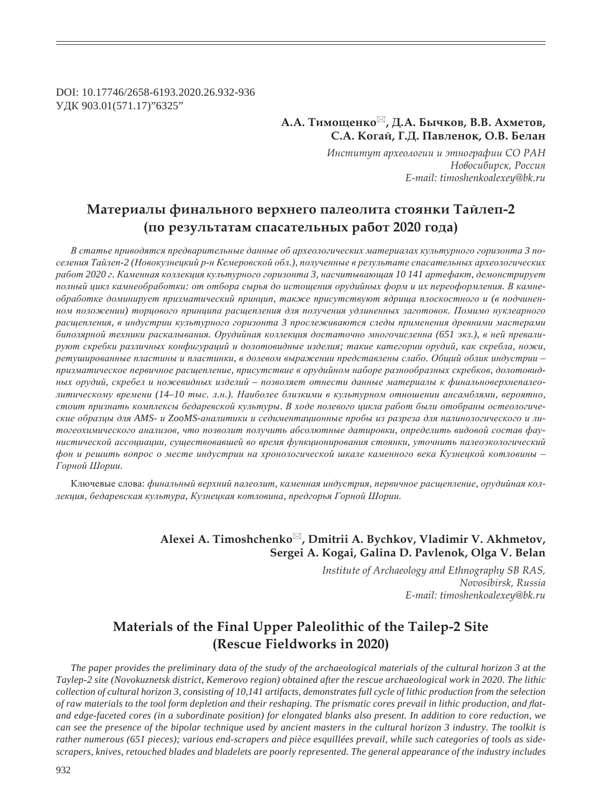DOI: 10.17746/2658-6193.2020.26.932-936 УДК 903.01(571.17)"6325"

> **Ǯ.Ǯ. ȀȖȚȜȧȓțȘȜ , Dz.Ǯ. ǯȩȥȘȜȐ, ǰ.ǰ. ǮȣȚȓȠȜȐ, ǿ.Ǯ. ǸȜȑȎȗ, DZ.Dz. ǽȎȐșȓțȜȘ, Ǽ.ǰ. ǯȓșȎț**

> > *ǶțȟȠȖȠȡȠ ȎȞȣȓȜșȜȑȖȖ Ȗ ȫȠțȜȑȞȎȢȖȖ ǿǼ ǾǮǻ*  $H$ овосибирск, Россия *E-mail: timoshenkoalexey@bk.ru*

# **ǺȎȠȓȞȖȎșȩ ȢȖțȎșȪțȜȑȜ ȐȓȞȣțȓȑȜ ȝȎșȓȜșȖȠȎ ȟȠȜȭțȘȖ ȀȎȗșȓȝ-2 (ȝȜ ȞȓȕȡșȪȠȎȠȎȚ ȟȝȎȟȎȠȓșȪțȩȣ ȞȎȏȜȠ 2020 ȑȜȒȎ)**

В статье приводятся предварительные данные об археологических материалах культурного горизонта 3 поселения Тайлеп-2 (Новокузнецкий р-н Кемеровской обл.), полученные в результате спасательных археологических  $pa6$ от 2020 г. Каменная коллекция культурного горизонта 3, насчитывающая 10 141 артефакт, демонстрирует полный цикл камнеобработки: от отбора сырья до истощения орудийных форм и их переоформления. В камне- $\delta$ бработке доминирует призматический принцип, также присутствуют ядрища плоскостного и (в подчиненном положении) ториового приниипа расшепления для получения удлиненных заготовок. Помимо нуклеарного  $pacuqenne\nu$ я, в индустрии культурного горизонта 3 прослеживаются следы применения древними мастерами  $6u$ полярной техники раскалывания. Орудийная коллекция достаточно многочисленна (651 экз.), в ней превали $py$ ют скребки различных конфигураций и долотовидные изделия; такие категории орудий, как скребла, ножи,  $p$ етушированные пластины и пластинки, в долевом выражении представлены слабо. Общий облик индустрии призматическое первичное расщепление, присутствие в орудийном наборе разнообразных скребков, долотовид $h$ ых орудий, скребел и ножевидных изделий – позволяет отнести данные материалы к финальноверхнепалеолитическому времени (14-10 тыс. л.н.). Наиболее близкими в культурном отношении ансамблями, вероятно, стоит признать комплексы бедаревской культуры. В ходе полевого цикла работ были отобраны остеологические образцы для AMS- и ZooMS-аналитики и седиментационные пробы из разреза для палинологического и литогеохимического анализов, что позволит получить абсолютные датировки, определить видовой состав фаунистической ассоциации, существовавшей во время функционирования стоянки, уточнить палеоэкологический фон и решить вопрос о месте индустрии на хронологической шкале каменного века Кузнецкой котловины – Горной Шории.

Ключевые слова: финальный верхний палеолит, каменная индустрия, первичное расщепление, орудийная коллекция, бедаревская культура, Кузнецкая котловина, предгорья Горной Шории.

### **Alexei A. Timoshchenko , Dmitrii A. Bychkov, Vladimir V. Akhmetov, Sergei A. Kogai, Galina D. Pavlenok, Olga V. Belan**

*Institute of Archaeology and Ethnography SB RAS, Novosibirsk, Russia E-mail: timoshenkoalexey@bk.ru*

## **Materials of the Final Upper Paleolithic of the Tailep-2 Site (Rescue Fieldworks in 2020)**

*The paper provides the preliminary data of the study of the archaeological materials of the cultural horizon 3 at the Taylep-2 site (Novokuznetsk district, Kemerovo region) obtained after the rescue archaeological work in 2020. The lithic collection of cultural horizon 3, consisting of 10,141 artifacts, demonstrates full cycle of lithic production from the selection*  of raw materials to the tool form depletion and their reshaping. The prismatic cores prevail in lithic production, and flat*and edge-faceted cores (in a subordinate position) for elongated blanks also present. In addition to core reduction, we can see the presence of the bipolar technique used by ancient masters in the cultural horizon 3 industry. The toolkit is rather numerous (651 pieces); various end-scrapers and pièce esquillées prevail, while such categories of tools as sidescrapers, knives, retouched blades and bladelets are poorly represented. The general appearance of the industry includes*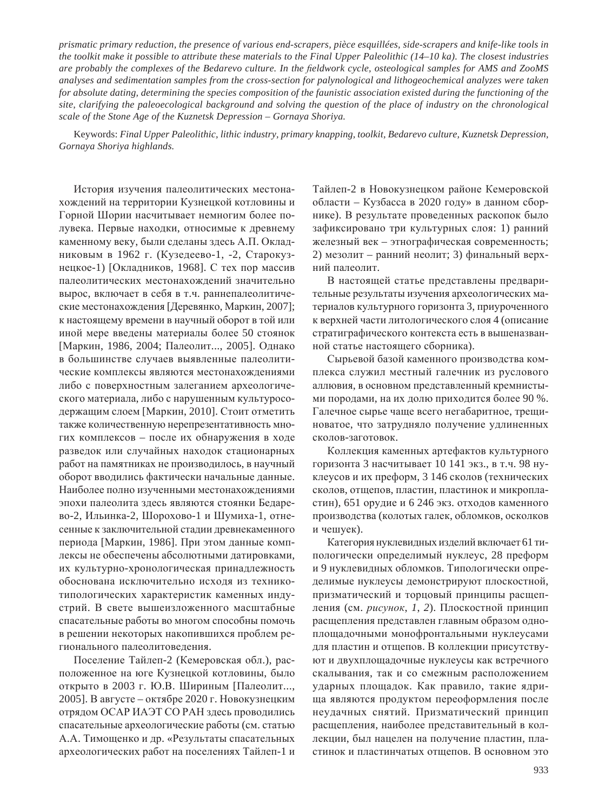*prismatic primary reduction, the presence of various end-scrapers, pièce esquillées, side-scrapers and knife-like tools in the toolkit make it possible to attribute these materials to the Final Upper Paleolithic (14–10 ka). The closest industries*  are probably the complexes of the Bedarevo culture. In the fieldwork cycle, osteological samples for AMS and ZooMS *analyses and sedimentation samples from the cross-section for palynological and lithogeochemical analyzes were taken for absolute dating, determining the species composition of the faunistic association existed during the functioning of the site, clarifying the paleoecological background and solving the question of the place of industry on the chronological scale of the Stone Age of the Kuznetsk Depression – Gornaya Shoriya.*

Keywords: *Final Upper Paleolithic, lithic industry, primary knapping, toolkit, Bedarevo culture, Kuznetsk Depression, Gornaya Shoriya highlands.*

История изучения палеолитических местонахождений на территории Кузнецкой котловины и Горной Шории насчитывает немногим более полувека. Первые находки, относимые к древнему каменному веку, были сделаны здесь А.П. Окладниковым в 1962 г. (Кузедеево-1, -2, Старокузнецкое-1) [Окладников, 1968]. С тех пор массив палеолитических местонахождений значительно вырос, включает в себя в т.ч. раннепалеолитические местонахождения [Деревянко, Маркин, 2007]; к настоящему времени в научный оборот в той или иной мере введены материалы более 50 стоянок [Маркин, 1986, 2004; Палеолит..., 2005]. Однако в большинстве случаев выявленные палеолитические комплексы являются местонахождениями либо с поверхностным залеганием археологического материала, либо с нарушенным культуросодержащим слоем [Маркин, 2010]. Стоит отметить также количественную нерепрезентативность многих комплексов – после их обнаружения в ходе разведок или случайных находок стационарных работ на памятниках не производилось, в научный оборот вводились фактически начальные данные. Наиболее полно изученными местонахождениями эпохи палеолита здесь являются стоянки Бедарево-2, Ильинка-2, Шорохово-1 и Шумиха-1, отнесенные к заключительной стадии древнекаменного периода [Маркин, 1986]. При этом данные комплексы не обеспечены абсолютными датировками, их культурно-хронологическая принадлежность обоснована исключительно исходя из техникотипологических характеристик каменных индустрий. В свете вышеизложенного масштабные спасательные работы во многом способны помочь в решении некоторых накопившихся проблем регионального палеолитоведения.

Поселение Тайлеп-2 (Кемеровская обл.), расположенное на юге Кузнецкой котловины, было открыто в 2003 г. Ю.В. Шириным [Палеолит..., 2005]. В августе – октябре 2020 г. Новокузнецким отрядом ОСАР ИАЭТ СО РАН здесь проводились спасательные археологические работы (см. статью А.А. Тимощенко и др. «Результаты спасательных археологических работ на поселениях Тайлеп-1 и Тайлеп-2 в Новокузнецком районе Кемеровской области – Кузбасса в 2020 году» в данном сборнике). В результате проведенных раскопок было зафиксировано три культурных слоя: 1) ранний железный век – этнографическая современность; 2) мезолит – ранний неолит; 3) финальный верхний палеолит.

В настоящей статье представлены предварительные результаты изучения археологических материалов культурного горизонта 3, приуроченного к верхней части литологического слоя 4 (описание стратиграфического контекста есть в вышеназванной статье настоящего сборника).

Сырьевой базой каменного производства комплекса служил местный галечник из руслового аллювия, в основном представленный кремнистыми породами, на их долю приходится более 90 %. Галечное сырье чаще всего негабаритное, трещиноватое, что затрудняло получение удлиненных сколов-заготовок.

Коллекция каменных артефактов культурного горизонта 3 насчитывает 10 141 экз., в т.ч. 98 нуклеусов и их преформ, 3 146 сколов (технических сколов, отщепов, пластин, пластинок и микропластин), 651 орудие и 6 246 экз. отходов каменного производства (колотых галек, обломков, осколков и чешуек).

Категория нуклевидных изделий включает 61 типологически определимый нуклеус, 28 преформ и 9 нуклевидных обломков. Типологически определимые нуклеусы демонстрируют плоскостной, призматический и торцовый принципы расщепления (см. рисунок, 1, 2). Плоскостной принцип расщепления представлен главным образом одноплощадочными монофронтальными нуклеусами для пластин и отщепов. В коллекции присутствуют и двухплощадочные нуклеусы как встречного скалывания, так и со смежным расположением ударных площадок. Как правило, такие ядрища являются продуктом переоформления после неудачных снятий. Призматический принцип расщепления, наиболее представительный в коллекции, был нацелен на получение пластин, пластинок и пластинчатых отшепов. В основном это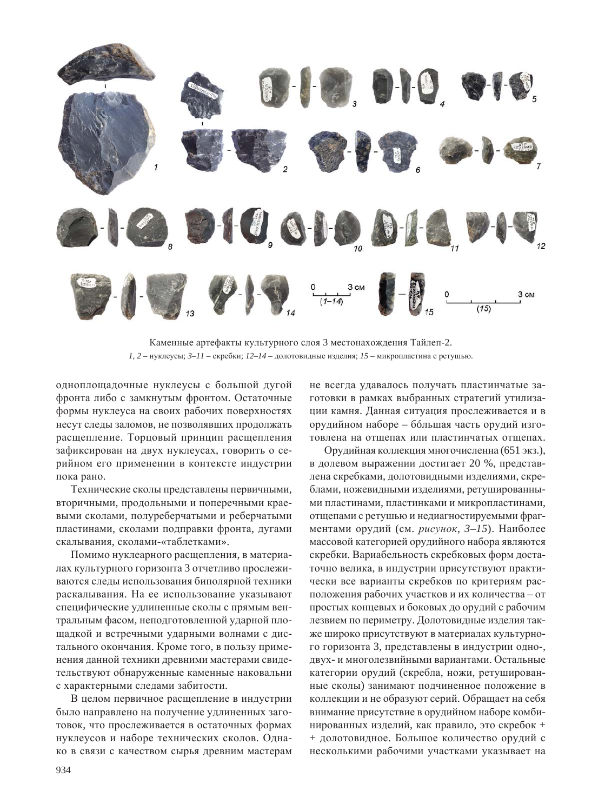

Каменные артефакты культурного слоя 3 местонахождения Тайлеп-2.  $1, 2 -$ нуклеусы;  $3-11 -$ скребки;  $12-14 -$ долотовидные изделия;  $15 -$ микропластина с ретушью.

одноплощадочные нуклеусы с большой дугой фронта либо с замкнутым фронтом. Остаточные формы нуклеуса на своих рабочих поверхностях несут следы заломов, не позволявших продолжать расщепление. Торцовый принцип расщепления зафиксирован на двух нуклеусах, говорить о серийном его применении в контексте индустрии пока рано.

Технические сколы представлены первичными, вторичными, продольными и поперечными краевыми сколами, полуреберчатыми и реберчатыми пластинами, сколами подправки фронта, дугами скалывания, сколами-«таблетками».

Помимо нуклеарного расщепления, в материалах культурного горизонта 3 отчетливо прослеживаются следы использования биполярной техники раскалывания. На ее использование указывают специфические удлиненные сколы с прямым вентральным фасом, неподготовленной ударной площадкой и встречными ударными волнами с дистального окончания. Кроме того, в пользу применения данной техники древними мастерами свидетельствуют обнаруженные каменные наковальни с характерными следами забитости.

В целом первичное расщепление в индустрии было направлено на получение удлиненных заготовок, что прослеживается в остаточных формах нуклеусов и наборе технических сколов. Однако в связи с качеством сырья древним мастерам

не всегда удавалось получать пластинчатые заготовки в рамках выбранных стратегий утилизации камня. Данная ситуация прослеживается и в орудийном наборе – большая часть орудий изготовлена на отшепах или пластинчатых отшепах.

Орудийная коллекция многочисленна (651 экз.), в долевом выражении достигает 20 %, представлена скребками, долотовидными изделиями, скреблами, ножевидными изделиями, ретушированными пластинами, пластинками и микропластинами, отщепами с ретушью и недиагностируемыми фрагментами орудий (см. рисунок, 3–15). Наиболее массовой категорией орудийного набора являются скребки. Вариабельность скребковых форм достаточно велика, в индустрии присутствуют практически все варианты скребков по критериям расположения рабочих участков и их количества – от простых концевых и боковых до орудий с рабочим лезвием по периметру. Долотовидные изделия также широко присутствуют в материалах культурного горизонта 3, представлены в индустрии одно-, двух- и многолезвийными вариантами. Остальные категории орудий (скребла, ножи, ретушированные сколы) занимают подчиненное положение в коллекции и не образуют серий. Обращает на себя внимание присутствие в орудийном наборе комбинированных изделий, как правило, это скребок + + долотовидное. Большое количество орудий с несколькими рабочими участками указывает на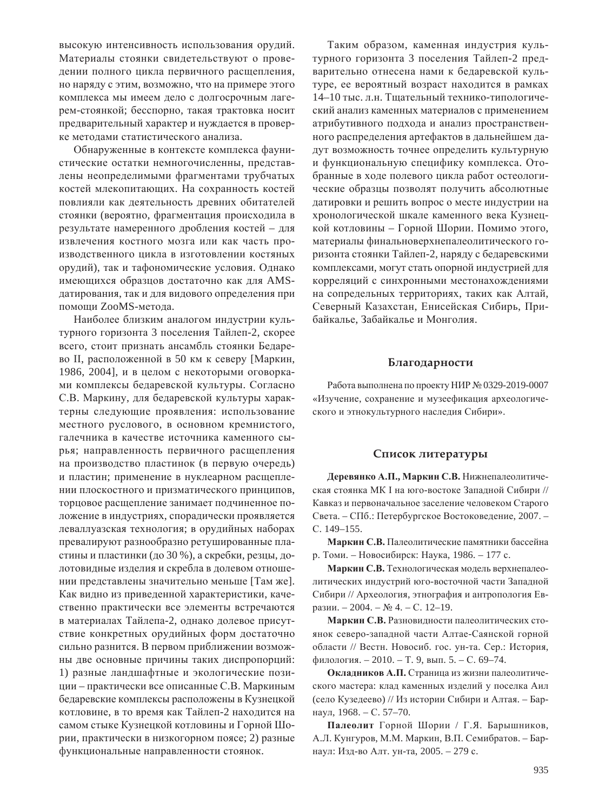высокую интенсивность использования орудий. Материалы стоянки свидетельствуют о проведении полного цикла первичного расщепления, но наряду с этим, возможно, что на примере этого комплекса мы имеем лело с долгосрочным лагерем-стоянкой; бесспорно, такая трактовка носит предварительный характер и нуждается в проверке методами статистического анализа.

Обнаруженные в контексте комплекса фаунистические остатки немногочисленны, представлены неопределимыми фрагментами трубчатых костей млекопитающих. На сохранность костей повлияли как деятельность древних обитателей стоянки (вероятно, фрагментация происходила в результате намеренного дробления костей – для извлечения костного мозга или как часть производственного цикла в изготовлении костяных орудий), так и тафономические условия. Однако имеющихся образцов достаточно как для AMSдатирования, так и для видового определения при помощи ZooMS-метода.

Наиболее близким аналогом индустрии культурного горизонта 3 поселения Тайлеп-2, скорее всего, стоит признать ансамбль стоянки Бедарево II, расположенной в 50 км к северу [Маркин, 1986, 2004], и в целом с некоторыми оговорками комплексы бедаревской культуры. Согласно С.В. Маркину, для бедаревской культуры характерны следующие проявления: использование местного руслового, в основном кремнистого, галечника в качестве источника каменного сырья; направленность первичного расщепления на производство пластинок (в первую очередь) и пластин; применение в нуклеарном расщеплении плоскостного и призматического принципов, торцовое расщепление занимает подчиненное положение в индустриях, спорадически проявляется леваллуазская технология; в орудийных наборах превалируют разнообразно ретушированные пластины и пластинки (до 30 %), а скребки, резцы, долотовидные изделия и скребла в долевом отношении представлены значительно меньше [Там же]. Как видно из приведенной характеристики, качественно практически все элементы встречаются в материалах Тайлепа-2, однако долевое присутствие конкретных орудийных форм достаточно сильно разнится. В первом приближении возможны две основные причины таких диспропорций: 1) разные ландшафтные и экологические позиции – практически все описанные С.В. Маркиным бедаревские комплексы расположены в Кузнецкой котловине, в то время как Тайлеп-2 находится на самом стыке Кузнецкой котловины и Горной Шории, практически в низкогорном поясе; 2) разные функциональные направленности стоянок.

Таким образом, каменная индустрия культурного горизонта 3 поселения Тайлеп-2 предварительно отнесена нами к бедаревской культуре, ее вероятный возраст находится в рамках 14–10 тыс. л.н. Тшательный технико-типологический анализ каменных материалов с применением атрибутивного подхода и анализ пространственного распределения артефактов в дальнейшем дадут возможность точнее определить культурную и функциональную специфику комплекса. Отобранные в ходе полевого цикла работ остеологические образцы позволят получить абсолютные датировки и решить вопрос о месте индустрии на хронологической шкале каменного века Кузнецкой котловины – Горной Шории. Помимо этого, материалы финальноверхнепалеолитического горизонта стоянки Тайлеп-2, наряду с бедаревскими комплексами, могут стать опорной индустрией для корреляций с синхронными местонахождениями на сопредельных территориях, таких как Алтай, Северный Казахстан, Енисейская Сибирь, Прибайкалье, Забайкалье и Монголия.

#### **Благодарности**

Работа выполнена по проекту НИР № 0329-2019-0007 «Изучение, сохранение и музеефикация археологического и этнокультурного наследия Сибири».

#### Список литературы

 $\Lambda$ еревянко А.П., Маркин С.В. Нижнепалеолитическая стоянка МК I на юго-востоке Западной Сибири // Кавказ и первоначальное заселение человеком Старого Света. – СПб.: Петербургское Востоковедение, 2007. – C. 149–155.

Маркин С.В. Палеолитические памятники бассейна р. Томи. – Новосибирск: Наука, 1986. – 177 с.

Маркин С.В. Технологическая модель верхнепалеолитических индустрий юго-восточной части Западной Сибири // Археология, этнография и антропология Евразии. – 2004. –  $\mathbb{N}$  4. – С. 12–19.

Маркин С.В. Разновидности палеолитических стоянок северо-западной части Алтае-Саянской горной области // Вестн. Новосиб. гос. ун-та. Сер.: История, филология. – 2010. – Т. 9, вып. 5. – С. 69–74.

Окладников А.П. Страница из жизни палеолитического мастера: клад каменных изделий у поселка Аил (село Кузедеево) // Из истории Сибири и Алтая. – Барнаул, 1968. – С. 57–70.

Палеолит Горной Шории / Г.Я. Барышников, А.Л. Кунгуров, М.М. Маркин, В.П. Семибратов. – Барнаул: Изд-во Алт. ун-та, 2005. – 279 с.